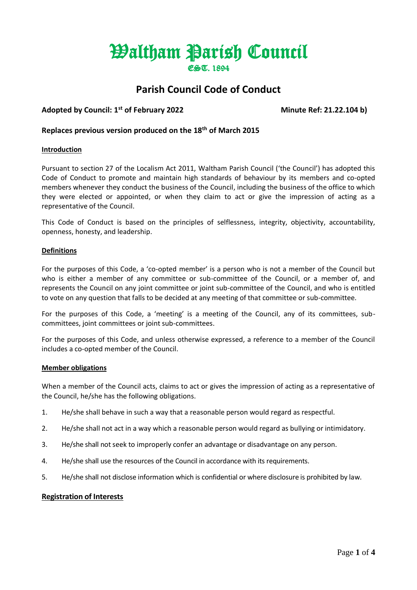# Waltham Parish Council EST. 1894

# **Parish Council Code of Conduct**

# **Adopted by Council: 1st of February 2022 Minute Ref: 21.22.104 b)**

# **Replaces previous version produced on the 18th of March 2015**

#### **Introduction**

Pursuant to section 27 of the Localism Act 2011, Waltham Parish Council ('the Council') has adopted this Code of Conduct to promote and maintain high standards of behaviour by its members and co-opted members whenever they conduct the business of the Council, including the business of the office to which they were elected or appointed, or when they claim to act or give the impression of acting as a representative of the Council.

This Code of Conduct is based on the principles of selflessness, integrity, objectivity, accountability, openness, honesty, and leadership.

#### **Definitions**

For the purposes of this Code, a 'co-opted member' is a person who is not a member of the Council but who is either a member of any committee or sub-committee of the Council, or a member of, and represents the Council on any joint committee or joint sub-committee of the Council, and who is entitled to vote on any question that falls to be decided at any meeting of that committee or sub-committee.

For the purposes of this Code, a 'meeting' is a meeting of the Council, any of its committees, subcommittees, joint committees or joint sub-committees.

For the purposes of this Code, and unless otherwise expressed, a reference to a member of the Council includes a co-opted member of the Council.

#### **Member obligations**

When a member of the Council acts, claims to act or gives the impression of acting as a representative of the Council, he/she has the following obligations.

- 1. He/she shall behave in such a way that a reasonable person would regard as respectful.
- 2. He/she shall not act in a way which a reasonable person would regard as bullying or intimidatory.
- 3. He/she shall not seek to improperly confer an advantage or disadvantage on any person.
- 4. He/she shall use the resources of the Council in accordance with its requirements.
- 5. He/she shall not disclose information which is confidential or where disclosure is prohibited by law.

#### **Registration of Interests**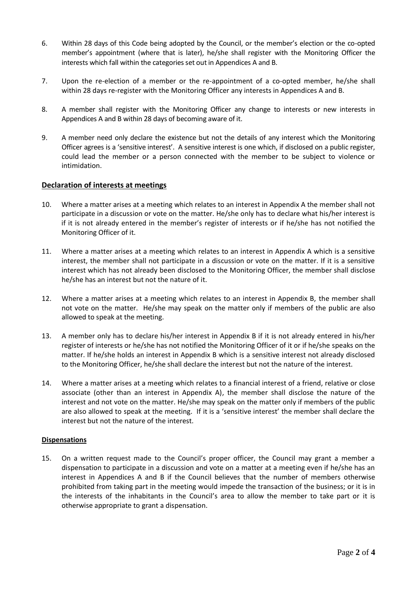- 6. Within 28 days of this Code being adopted by the Council, or the member's election or the co-opted member's appointment (where that is later), he/she shall register with the Monitoring Officer the interests which fall within the categories set out in Appendices A and B.
- 7. Upon the re-election of a member or the re-appointment of a co-opted member, he/she shall within 28 days re-register with the Monitoring Officer any interests in Appendices A and B.
- 8. A member shall register with the Monitoring Officer any change to interests or new interests in Appendices A and B within 28 days of becoming aware of it.
- 9. A member need only declare the existence but not the details of any interest which the Monitoring Officer agrees is a 'sensitive interest'. A sensitive interest is one which, if disclosed on a public register, could lead the member or a person connected with the member to be subject to violence or intimidation.

#### **Declaration of interests at meetings**

- 10. Where a matter arises at a meeting which relates to an interest in Appendix A the member shall not participate in a discussion or vote on the matter. He/she only has to declare what his/her interest is if it is not already entered in the member's register of interests or if he/she has not notified the Monitoring Officer of it.
- 11. Where a matter arises at a meeting which relates to an interest in Appendix A which is a sensitive interest, the member shall not participate in a discussion or vote on the matter. If it is a sensitive interest which has not already been disclosed to the Monitoring Officer, the member shall disclose he/she has an interest but not the nature of it.
- 12. Where a matter arises at a meeting which relates to an interest in Appendix B, the member shall not vote on the matter. He/she may speak on the matter only if members of the public are also allowed to speak at the meeting.
- 13. A member only has to declare his/her interest in Appendix B if it is not already entered in his/her register of interests or he/she has not notified the Monitoring Officer of it or if he/she speaks on the matter. If he/she holds an interest in Appendix B which is a sensitive interest not already disclosed to the Monitoring Officer, he/she shall declare the interest but not the nature of the interest.
- 14. Where a matter arises at a meeting which relates to a financial interest of a friend, relative or close associate (other than an interest in Appendix A), the member shall disclose the nature of the interest and not vote on the matter. He/she may speak on the matter only if members of the public are also allowed to speak at the meeting. If it is a 'sensitive interest' the member shall declare the interest but not the nature of the interest.

#### **Dispensations**

15. On a written request made to the Council's proper officer, the Council may grant a member a dispensation to participate in a discussion and vote on a matter at a meeting even if he/she has an interest in Appendices A and B if the Council believes that the number of members otherwise prohibited from taking part in the meeting would impede the transaction of the business; or it is in the interests of the inhabitants in the Council's area to allow the member to take part or it is otherwise appropriate to grant a dispensation.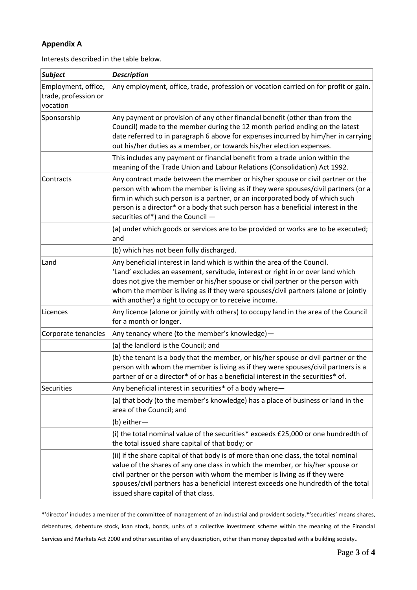# **Appendix A**

Interests described in the table below.

| <b>Subject</b>                                          | <b>Description</b>                                                                                                                                                                                                                                                                                                                                                                           |
|---------------------------------------------------------|----------------------------------------------------------------------------------------------------------------------------------------------------------------------------------------------------------------------------------------------------------------------------------------------------------------------------------------------------------------------------------------------|
| Employment, office,<br>trade, profession or<br>vocation | Any employment, office, trade, profession or vocation carried on for profit or gain.                                                                                                                                                                                                                                                                                                         |
| Sponsorship                                             | Any payment or provision of any other financial benefit (other than from the<br>Council) made to the member during the 12 month period ending on the latest<br>date referred to in paragraph 6 above for expenses incurred by him/her in carrying<br>out his/her duties as a member, or towards his/her election expenses.                                                                   |
|                                                         | This includes any payment or financial benefit from a trade union within the<br>meaning of the Trade Union and Labour Relations (Consolidation) Act 1992.                                                                                                                                                                                                                                    |
| Contracts                                               | Any contract made between the member or his/her spouse or civil partner or the<br>person with whom the member is living as if they were spouses/civil partners (or a<br>firm in which such person is a partner, or an incorporated body of which such<br>person is a director* or a body that such person has a beneficial interest in the<br>securities of*) and the Council -              |
|                                                         | (a) under which goods or services are to be provided or works are to be executed;<br>and                                                                                                                                                                                                                                                                                                     |
|                                                         | (b) which has not been fully discharged.                                                                                                                                                                                                                                                                                                                                                     |
| Land                                                    | Any beneficial interest in land which is within the area of the Council.<br>'Land' excludes an easement, servitude, interest or right in or over land which<br>does not give the member or his/her spouse or civil partner or the person with<br>whom the member is living as if they were spouses/civil partners (alone or jointly<br>with another) a right to occupy or to receive income. |
| Licences                                                | Any licence (alone or jointly with others) to occupy land in the area of the Council<br>for a month or longer.                                                                                                                                                                                                                                                                               |
| Corporate tenancies                                     | Any tenancy where (to the member's knowledge) -                                                                                                                                                                                                                                                                                                                                              |
|                                                         | (a) the landlord is the Council; and                                                                                                                                                                                                                                                                                                                                                         |
|                                                         | (b) the tenant is a body that the member, or his/her spouse or civil partner or the<br>person with whom the member is living as if they were spouses/civil partners is a<br>partner of or a director* of or has a beneficial interest in the securities* of.                                                                                                                                 |
| Securities                                              | Any beneficial interest in securities* of a body where-                                                                                                                                                                                                                                                                                                                                      |
|                                                         | (a) that body (to the member's knowledge) has a place of business or land in the<br>area of the Council; and                                                                                                                                                                                                                                                                                 |
|                                                         | (b) either-                                                                                                                                                                                                                                                                                                                                                                                  |
|                                                         | (i) the total nominal value of the securities* exceeds £25,000 or one hundredth of<br>the total issued share capital of that body; or                                                                                                                                                                                                                                                        |
|                                                         | (ii) if the share capital of that body is of more than one class, the total nominal<br>value of the shares of any one class in which the member, or his/her spouse or<br>civil partner or the person with whom the member is living as if they were<br>spouses/civil partners has a beneficial interest exceeds one hundredth of the total<br>issued share capital of that class.            |

\*'director' includes a member of the committee of management of an industrial and provident society.**\*'**securities' means shares, debentures, debenture stock, loan stock, bonds, units of a collective investment scheme within the meaning of the Financial Services and Markets Act 2000 and other securities of any description, other than money deposited with a building society**.**